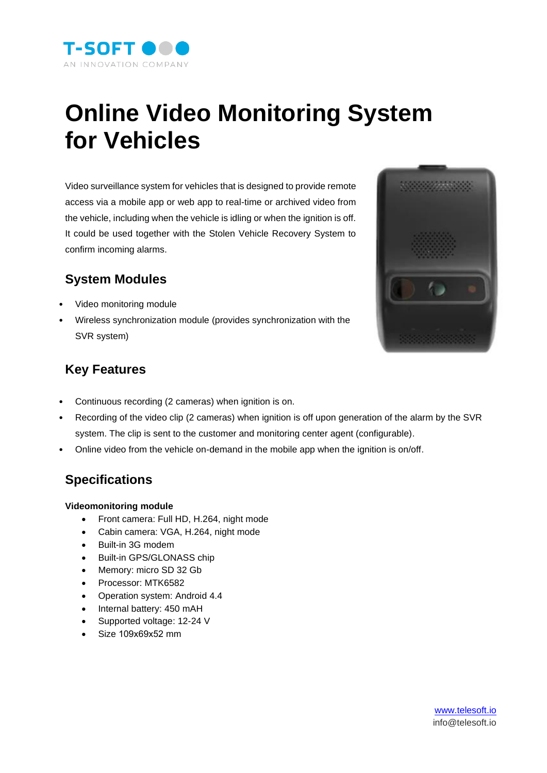

# **Online Video Monitoring System for Vehicles**

Video surveillance system for vehicles that is designed to provide remote access via a mobile app or web app to real-time or archived video from the vehicle, including when the vehicle is idling or when the ignition is off. It could be used together with the Stolen Vehicle Recovery System to confirm incoming alarms.

## **System Modules**

- Video monitoring module
- Wireless synchronization module (provides synchronization with the SVR system)



### **Key Features**

- Continuous recording (2 cameras) when ignition is on.
- Recording of the video clip (2 cameras) when ignition is off upon generation of the alarm by the SVR system. The clip is sent to the customer and monitoring center agent (configurable).
- Online video from the vehicle on-demand in the mobile app when the ignition is on/off.

## **Specifications**

#### **Videomonitoring module**

- Front camera: Full HD, H.264, night mode
- Cabin camera: VGA, H.264, night mode
- Built-in 3G modem
- Built-in GPS/GLONASS chip
- Memory: micro SD 32 Gb
- Processor: MTK6582
- Operation system: Android 4.4
- Internal battery: 450 mAH
- Supported voltage: 12-24 V
- Size 109х69х52 mm